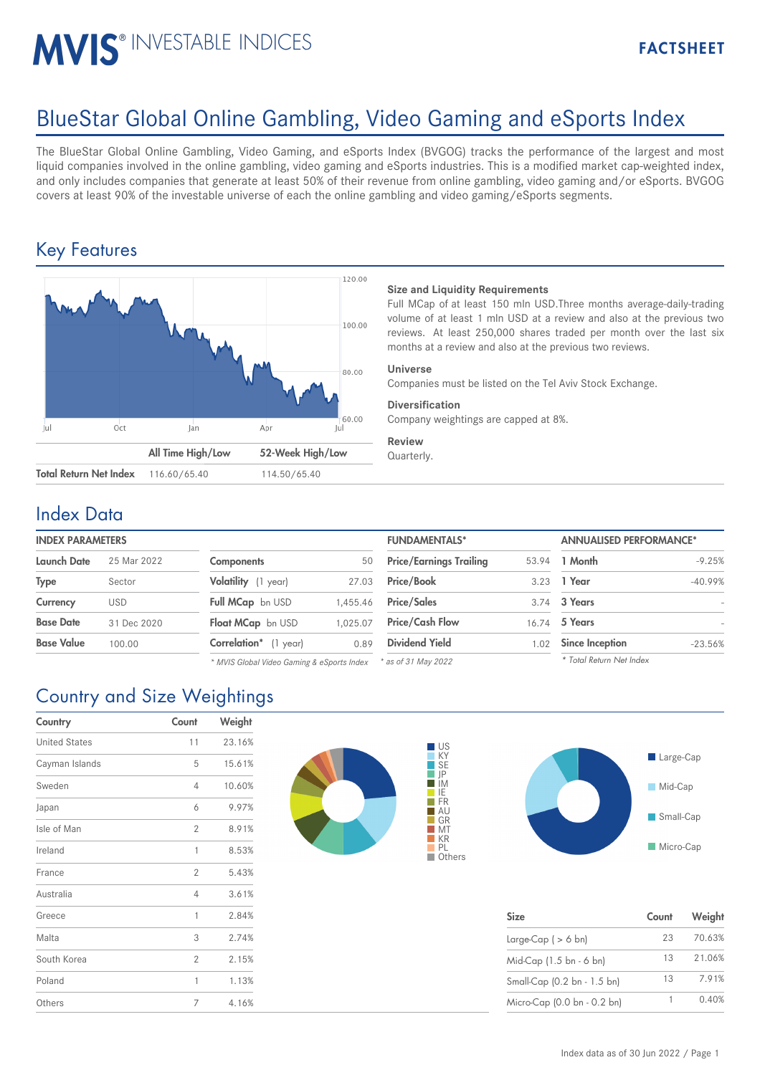# MVIS<sup>®</sup> INVESTABLE INDICES

# BlueStar Global Online Gambling, Video Gaming and eSports Index

The BlueStar Global Online Gambling, Video Gaming, and eSports Index (BVGOG) tracks the performance of the largest and most liquid companies involved in the online gambling, video gaming and eSports industries. This is a modified market cap-weighted index, and only includes companies that generate at least 50% of their revenue from online gambling, video gaming and/or eSports. BVGOG covers at least 90% of the investable universe of each the online gambling and video gaming/eSports segments.

### Key Features



#### **Size and Liquidity Requirements**

Full MCap of at least 150 mln USD.Three months average-daily-trading volume of at least 1 mln USD at a review and also at the previous two reviews. At least 250,000 shares traded per month over the last six months at a review and also at the previous two reviews.

#### **Universe**

Companies must be listed on the Tel Aviv Stock Exchange.

#### **Diversification**

Company weightings are capped at 8%.

**Review** Quarterly.

#### Index Data

| Launch Date       | 25 Mar 2022 | <b>Components</b>             | 50       | <b>Price/Earnings Trailing</b> |      | 53.94 1 Month          |
|-------------------|-------------|-------------------------------|----------|--------------------------------|------|------------------------|
| Type              | Sector      | Volatility (1 year)           | 27.03    | Price/Book                     | 3.23 | 1 Year                 |
| Currency          | <b>USD</b>  | <b>Full MCap</b> bn USD       | 1.455.46 | <b>Price/Sales</b>             |      | 3.74 3 Years           |
| <b>Base Date</b>  | 31 Dec 2020 | Float MCap bn USD             | 1.025.07 | <b>Price/Cash Flow</b>         |      | 16.74 5 Years          |
| <b>Base Value</b> | 100.00      | <b>Correlation</b> * (1 year) | 0.89     | <b>Dividend Yield</b>          | 1.02 | <b>Since Inception</b> |
|                   |             |                               |          |                                |      |                        |

*\* MVIS Global Video Gaming & eSports Index*

| <b>INDEX PARAMETERS</b> |             |                                                                |          | <b>FUNDAMENTALS*</b>           |       | <b>ANNUALISED PERFORMANCE*</b> |           |
|-------------------------|-------------|----------------------------------------------------------------|----------|--------------------------------|-------|--------------------------------|-----------|
| Launch Date             | 25 Mar 2022 | <b>Components</b>                                              | 50       | <b>Price/Earnings Trailing</b> | 53.94 | 1 Month                        | $-9.25%$  |
| Type                    | Sector      | Volatility (1 year)                                            | 27.03    | <b>Price/Book</b>              |       | 3.23 1 Year                    | $-40.99%$ |
| Currency                | <b>USD</b>  | Full MCap bn USD                                               | 1.455.46 | <b>Price/Sales</b>             |       | 3.74 3 Years                   |           |
| <b>Base Date</b>        | 31 Dec 2020 | Float MCap bn USD                                              | 1.025.07 | <b>Price/Cash Flow</b>         |       | 16.74 5 Years                  |           |
| Base Value              | 100.00      | Correlation* (1 year)                                          | 0.89     | <b>Dividend Yield</b>          | 1.02  | Since Inception                | $-23.56%$ |
|                         |             | * MIIS Clobal Video Caming & eSports Index * as of 31 May 2022 |          |                                |       | * Total Return Net Index       |           |

*\* as of 31 May 2022*



| <b>Size</b>                 | Count | Weight |
|-----------------------------|-------|--------|
| Large-Cap $( > 6$ bn)       | 23    | 70.63% |
| Mid-Cap (1.5 bn - 6 bn)     | 13    | 21.06% |
| Small-Cap (0.2 bn - 1.5 bn) | 13    | 7.91%  |
| Micro-Cap (0.0 bn - 0.2 bn) |       | 0.40%  |

## Country and Size Weightings

| Country              | Count          | Weight |
|----------------------|----------------|--------|
| <b>United States</b> | 11             | 23.16% |
| Cayman Islands       | 5              | 15.61% |
| Sweden               | 4              | 10.60% |
| Japan                | 6              | 9.97%  |
| Isle of Man          | $\overline{2}$ | 8.91%  |
| Ireland              | 1              | 8.53%  |
| France               | $\overline{2}$ | 5.43%  |
| Australia            | 4              | 3.61%  |
| Greece               | 1              | 2.84%  |
| Malta                | 3              | 2.74%  |
| South Korea          | $\overline{2}$ | 2.15%  |
| Poland               | 1              | 1.13%  |
| Others               | 7              | 4.16%  |